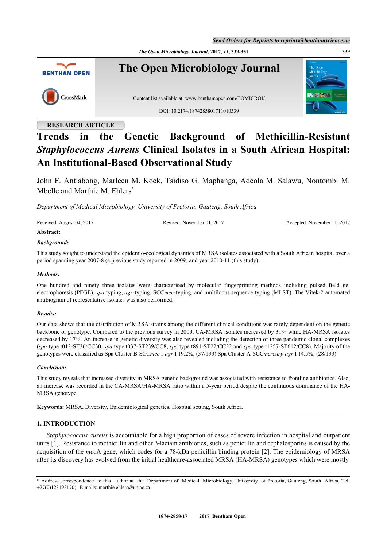*Send Orders for Reprints to reprints@benthamscience.ae*

*The Open Microbiology Journal***, 2017,** *11***, 339-351 339**



## **RESEARCH ARTICLE**

# **Trends in the Genetic Background of Methicillin-Resistant** *Staphylococcus Aureus* **Clinical Isolates in a South African Hospital: An Institutional-Based Observational Study**

John F. Antiabong, Marleen M. Kock, Tsidiso G. Maphanga, Adeola M. Salawu, Nontombi M. Mbelle and Marthie M. Ehlers<sup>[\\*](#page-0-0)</sup>

*Department of Medical Microbiology, University of Pretoria, Gauteng, South Africa*

| Received: August 04, 2017 | Revised: November 01, 2017 | Accepted: November 11, 2017 |
|---------------------------|----------------------------|-----------------------------|
| Abstract:                 |                            |                             |

## *Background:*

This study sought to understand the epidemio-ecological dynamics of MRSA isolates associated with a South African hospital over a period spanning year 2007-8 (a previous study reported in 2009) and year 2010-11 (this study).

#### *Methods:*

One hundred and ninety three isolates were characterised by molecular fingerprinting methods including pulsed field gel electrophoresis (PFGE), *spa* typing, *agr*-typing, SCC*mec*-typing, and multilocus sequence typing (MLST). The Vitek-2 automated antibiogram of representative isolates was also performed.

#### *Results:*

Our data shows that the distribution of MRSA strains among the different clinical conditions was rarely dependent on the genetic backbone or genotype. Compared to the previous survey in 2009, CA-MRSA isolates increased by 31% while HA-MRSA isolates decreased by 17%. An increase in genetic diversity was also revealed including the detection of three pandemic clonal complexes (*spa* type t012-ST36/CC30, *spa* type t037-ST239/CC8, *spa* type t891-ST22/CC22 and *spa* type t1257-ST612/CC8). Majority of the genotypes were classified as Spa Cluster B-SCC*mec* I-*agr* I 19.2%; (37/193) Spa Cluster A-SCC*mercury*-*agr* I 14.5%; (28/193)

#### *Conclusion:*

This study reveals that increased diversity in MRSA genetic background was associated with resistance to frontline antibiotics. Also, an increase was recorded in the CA-MRSA/HA-MRSA ratio within a 5-year period despite the continuous dominance of the HA-MRSA genotype.

**Keywords:** MRSA, Diversity, Epidemiological genetics, Hospital setting, South Africa.

## **1. INTRODUCTION**

*Staphylococcus aureus* is accountable for a high proportion of cases of severe infection in hospital and outpatient units [\[1](#page-10-0)]. Resistance to methicillin and other β-lactam antibiotics, such as penicillin and cephalosporins is caused by the acquisition of the *mec*A gene, which codes for a 78-kDa penicillin binding protein [[2](#page-10-1)]. The epidemiology of MRSA after its discovery has evolved from the initial healthcare-associated MRSA (HA-MRSA) genotypes which were mostly

<span id="page-0-0"></span><sup>\*</sup> Address correspondence to this author at the Department of Medical Microbiology, University of Pretoria, Gauteng, South Africa, Tel: +27(0)123192170; E-mails: [marthie.ehlers@up.ac.za](mailto:marthie.ehlers@up.ac.za)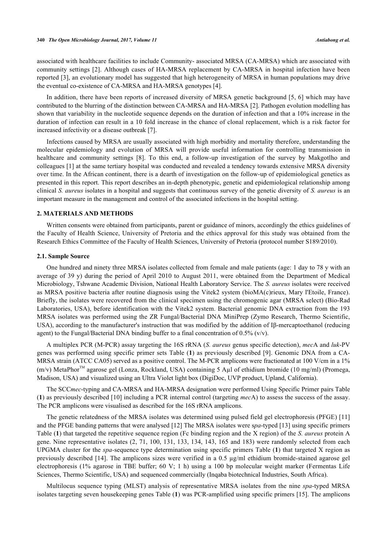associated with healthcare facilities to include Community- associated MRSA (CA-MRSA) which are associated with community settings [\[2\]](#page-10-1). Although cases of HA-MRSA replacement by CA-MRSA in hospital infection have been reported [[3](#page-10-2)], an evolutionary model has suggested that high heterogeneity of MRSA in human populations may drive the eventual co-existence of CA-MRSA and HA-MRSA genotypes [\[4](#page-10-3)].

In addition, there have been reports of increased diversity of MRSA genetic background [[5,](#page-10-4) [6\]](#page-10-5) which may have contributed to the blurring of the distinction between CA-MRSA and HA-MRSA [\[2](#page-10-1)]. Pathogen evolution modelling has shown that variability in the nucleotide sequence depends on the duration of infection and that a 10% increase in the duration of infection can result in a 10 fold increase in the chance of clonal replacement, which is a risk factor for increased infectivity or a disease outbreak [[7\]](#page-10-6).

Infections caused by MRSA are usually associated with high morbidity and mortality therefore, understanding the molecular epidemiology and evolution of MRSA will provide useful information for controlling transmission in healthcare and community settings[[8](#page-11-0)]. To this end, a follow-up investigation of the survey by Makgotlho and colleagues [[1\]](#page-10-0) at the same tertiary hospital was conducted and revealed a tendency towards extensive MRSA diversity over time. In the African continent, there is a dearth of investigation on the follow-up of epidemiological genetics as presented in this report. This report describes an in-depth phenotypic, genetic and epidemiological relationship among clinical *S. aureus* isolates in a hospital and suggests that continuous survey of the genetic diversity of *S. aureus* is an important measure in the management and control of the associated infections in the hospital setting.

#### **2. MATERIALS AND METHODS**

Written consents were obtained from participants, parent or guidance of minors, accordingly the ethics guidelines of the Faculty of Health Science, University of Pretoria and the ethics approval for this study was obtained from the Research Ethics Committee of the Faculty of Health Sciences, University of Pretoria (protocol number S189/2010).

#### **2.1. Sample Source**

One hundred and ninety three MRSA isolates collected from female and male patients (age: 1 day to 78 y with an average of 39 y) during the period of April 2010 to August 2011, were obtained from the Department of Medical Microbiology, Tshwane Academic Division, National Health Laboratory Service. The *S. aureus* isolates were received as MRSA positive bacteria after routine diagnosis using the Vitek2 system (bioMA(c)rieux, Mary l'Etoile, France). Briefly, the isolates were recovered from the clinical specimen using the chromogenic agar (MRSA select) (Bio-Rad Laboratories, USA), before identification with the Vitek2 system. Bacterial genomic DNA extraction from the 193 MRSA isolates was performed using the ZR Fungal/Bacterial DNA MiniPrep (Zymo Research, Thermo Scientific, USA), according to the manufacturer's instruction that was modified by the addition of Iβ-mercaptoethanol (reducing agent) to the Fungal/Bacterial DNA binding buffer to a final concentration of 0.5% ( $v/v$ ).

A multiplex PCR (M-PCR) assay targeting the 16S rRNA (*S. aureus* genus specific detection), *mec*A and *luk*-PV genes was performed using specific primer sets Table (**[1](#page-2-0)**) as previously described [\[9](#page-11-1)]. Genomic DNA from a CA-MRSA strain (ATCC CA05) served as a positive control. The M-PCR amplicons were fractionated at 100 V/cm in a 1%  $(m/v)$  MetaPhor<sup>TM</sup> agarose gel (Lonza, Rockland, USA) containing 5 Aul of ethidium bromide (10 mg/ml) (Promega, Madison, USA) and visualized using an Ultra Violet light box (DigiDoc, UVP product, Upland, California).

The SCC*mec*-typing and CA-MRSA and HA-MRSA designation were performed Using Specific Primer pairs Table (**[1](#page-2-0)**) as previously described [\[10](#page-11-2)] including a PCR internal control (targeting *mec*A) to assess the success of the assay. The PCR amplicons were visualised as described for the 16S rRNA amplicons.

The genetic relatedness of the MRSA isolates was determined using pulsed field gel electrophoresis (PFGE) [[11](#page-11-3)] and the PFGE banding patterns that were analysed [[12](#page-11-4)] The MRSA isolates were s*pa*-typed [\[13](#page-11-5)] using specific primers Table (**[1](#page-2-0)**) that targeted the repetitive sequence region (Fc binding region and the X region) of the *S. aureus* protein A gene. Nine representative isolates (2, 71, 100, 131, 133, 134, 143, 165 and 183) were randomly selected from each UPGMA cluster for the *spa-*sequence type determination using specific primers Table (**[1](#page-2-0)**) that targeted X region as previously described [[14\]](#page-11-6). The amplicons sizes were verified in a 0.5 µg/ml ethidium bromide-stained agarose gel electrophoresis (1% agarose in TBE buffer; 60 V; 1 h) using a 100 bp molecular weight marker (Fermentas Life Sciences, Thermo Scientific, USA) and sequenced commercially (Inqaba biotechnical Industries, South Africa).

Multilocus sequence typing (MLST) analysis of representative MRSA isolates from the nine *spa*-typed MRSA isolates targeting seven housekeeping genes Table (**[1](#page-2-0)**) was PCR-amplified using specific primers [\[15\]](#page-11-7). The amplicons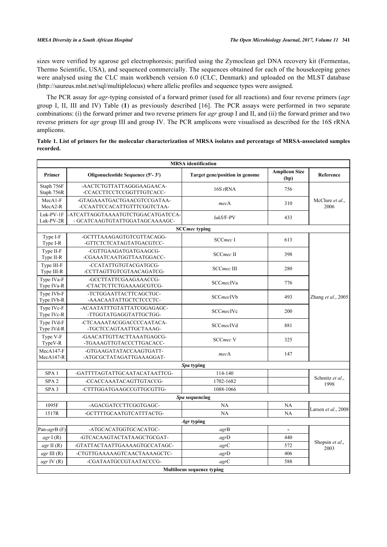sizes were verified by agarose gel electrophoresis; purified using the Zymoclean gel DNA recovery kit (Fermentas, Thermo Scientific, USA), and sequenced commercially. The sequences obtained for each of the housekeeping genes were analysed using the CLC main workbench version 6.0 (CLC, Denmark) and uploaded on the MLST database [\(http://saureus.mlst.net/sql/multiplelocus](http://saureus.mlst.net/sql/multiplelocus)) where allelic profiles and sequence types were assigned.

The PCR assay for *agr-*typing consisted of a forward primer (used for all reactions) and four reverse primers (*agr* group I, II, III and IV) Table (**[1](#page-2-0)**) as previously described[[16\]](#page-11-8). The PCR assays were performed in two separate combinations: (i) the forward primer and two reverse primers for *agr* group I and II, and (ii) the forward primer and two reverse primers for *agr* group III and group IV. The PCR amplicons were visualised as described for the 16S rRNA amplicons.

<span id="page-2-0"></span>

| Table 1. List of primers for the molecular characterization of MRSA isolates and percentage of MRSA-associated samples |  |
|------------------------------------------------------------------------------------------------------------------------|--|
| recorded.                                                                                                              |  |

|                            |                                                                     | <b>MRSA</b> identification        |                              |                         |  |  |
|----------------------------|---------------------------------------------------------------------|-----------------------------------|------------------------------|-------------------------|--|--|
| Primer                     | Oligonucleotide Sequence (5'-3')                                    | Target gene/position in genome    | <b>Amplicon Size</b><br>(bp) | Reference               |  |  |
| Staph 756F<br>Staph 756R   | -AACTCTGTTATTAGGGAAGAACA-<br>-CCACCTTCCTCCGGTTTGTCACC-              | 16S rRNA                          | 756                          |                         |  |  |
| $MecA1-F$<br>MecA2-R       | -GTAGAAATGACTGAACGTCCGATAA-<br>-CCAATTCCACATTGTTTCGGTCTAA-          | mecA                              | 310                          | McClure et al.,<br>2006 |  |  |
| $Luk-PV-1F$<br>Luk-PV-2R   | -ATCATTAGGTAAAATGTCTGGACATGATCCA-<br>- GCATCAAGTGTATTGGATAGCAAAAGC- | lukS/F-PV                         | 433                          |                         |  |  |
|                            |                                                                     | <b>SCCmec typing</b>              |                              |                         |  |  |
| Type I-F<br>Type I-R       | -GCTTTAAAGAGTGTCGTTACAGG-<br>-GTTCTCTCATAGTATGACGTCC-               | SCCmec <sub>I</sub>               | 613                          |                         |  |  |
| Type II-F<br>Type II-R     | -CGTTGAAGATGATGAAGCG-<br>-CGAAATCAATGGTTAATGGACC-                   | SCCmec II                         | 398                          |                         |  |  |
| Type III-F<br>Type III-R   | -CCATATTGTGTACGATGCG-<br>-CCTTAGTTGTCGTAACAGATCG-                   | <b>SCCmec III</b>                 | 280                          |                         |  |  |
| Type IVa-F<br>Type IVa-R   | -GCCTTATTCGAAGAAACCG-<br>-CTACTCTTCTGAAAAGCGTCG-                    | <b>SCCmecIVa</b>                  | 776                          |                         |  |  |
| Type IVb-F<br>Type IVb-R   | -TCTGGAATTACTTCAGCTGC-<br>-AAACAATATTGCTCTCCCTC-                    | <b>SCCmecIVb</b>                  | 493                          | Zhang et al., 2005      |  |  |
| Type IVc-F<br>Type IVc-R   | -ACAATATTTGTATTATCGGAGAGC-<br>-TTGGTATGAGGTATTGCTGG-                | <b>SCCmecIVc</b>                  | 200                          |                         |  |  |
| Type IVd-F<br>Type IVd-R   | -CTCAAAATACGGACCCCAATACA-<br>-TGCTCCAGTAATTGCTAAAG-                 | <b>SCCmecIVd</b>                  | 881                          |                         |  |  |
| Type V-F<br>TypeV-R        | -GAACATTGTTACTTAAATGAGCG-<br>-TGAAAGTTGTACCCTTGACACC-               | <b>SCCmec V</b>                   | 325                          |                         |  |  |
| $MecA147-F$<br>$MecA147-R$ | -GTGAAGATATACCAAGTGATT-<br>-ATGCGCTATAGATTGAAAGGAT-                 | mecA                              | 147                          |                         |  |  |
|                            |                                                                     | <i>Spa</i> typing                 |                              |                         |  |  |
| SPA <sub>1</sub>           | -GATTTTAGTATTGCAATACATAATTCG-                                       | 114-140                           |                              |                         |  |  |
| SPA <sub>2</sub>           | -CCACCAAATACAGTTGTACCG-                                             | 1702-1682                         |                              | Schmitz et al.,<br>1998 |  |  |
| SPA <sub>3</sub>           | -CTTTGGATGAAGCCGTTGCGTTG-                                           | 1088-1066                         |                              |                         |  |  |
|                            |                                                                     | Spa sequencing                    |                              |                         |  |  |
| 1095F                      | -AGACGATCCTTCGGTGAGC-                                               | NA                                | <b>NA</b>                    | Larsen et al., 2008     |  |  |
| 1517R                      | -GCTTTTGCAATGTCATTTACTG-                                            | NA                                | NA                           |                         |  |  |
|                            |                                                                     | Agr typing                        |                              |                         |  |  |
| Pan-agrB (F)               | -ATGCACATGGTGCACATGC-                                               | agrB                              | $\blacksquare$               |                         |  |  |
| agr I(R)                   | -GTCACAAGTACTATAAGCTGCGAT-                                          | agrD                              | 440                          | Shopsin et al.,         |  |  |
| agr II $(R)$               | -GTATTACTAATTGAAAAGTGCCATAGC-                                       | agrC                              | 572                          | 2003                    |  |  |
| $agr$ III $(R)$            | -CTGTTGAAAAAGTCAACTAAAAGCTC-                                        | agrD                              | 406                          |                         |  |  |
| $agr \, IV \, (R)$         | -CGATAATGCCGTAATACCCG-                                              | agrC                              | 588                          |                         |  |  |
|                            |                                                                     | <b>Multilocus sequence typing</b> |                              |                         |  |  |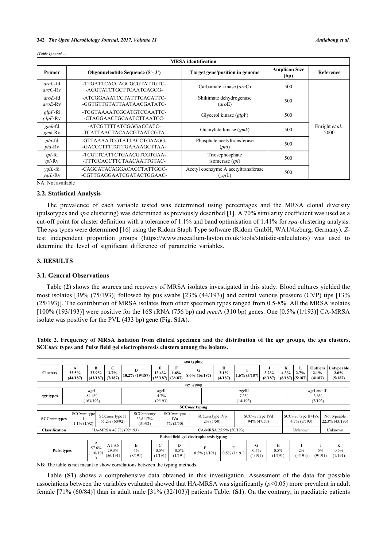|                                  | <b>MRSA</b> identification                             |                                                  |                              |                         |  |  |  |  |  |
|----------------------------------|--------------------------------------------------------|--------------------------------------------------|------------------------------|-------------------------|--|--|--|--|--|
| Primer                           | Oligonucleotide Sequence (5'-3')                       | Target gene/position in genome                   | <b>Amplicon Size</b><br>(bp) | Reference               |  |  |  |  |  |
| $arcC$ -fd<br>$arcC-Rv$          | -TTGATTCACCAGCGCGTATTGTC-<br>-AGGTATCTGCTTCAATCAGCG-   | Carbamate kinase (arcC)                          | 500                          |                         |  |  |  |  |  |
| $arcE$ -fd<br>$arcE-Rv$          | -ATCGGAAATCCTATTTCACATTC-<br>-GGTGTTGTATTAATAACGATATC- | Shikimate dehydrogenase<br>(aroE)                | 500                          |                         |  |  |  |  |  |
| $glpF$ -fd<br>$glpF-Rv$          | -TGGTAAAATCGCATGTCCAATTC-<br>-CTAGGAACTGCAATCTTAATCC-  | Glycerol kinase $\left(g/pF\right)$              | 500                          |                         |  |  |  |  |  |
| $g$ mk-fd<br>$g$ mk-Rv           | -ATCGTTTTATCGGGACCATC-<br>-TCATTAACTACAACGTAATCGTA-    | Guanylate kinase (gmk)                           | 500                          | Enright et al.,<br>2000 |  |  |  |  |  |
| <i>pta</i> -fd<br><i>pta-Rv</i>  | -GTTAAAATCGTATTACCTGAAGG-<br>-GACCCTTTTGTTGAAAAGCTTAA- | Phosphate acetyltransferase<br>(pta)             | 500                          |                         |  |  |  |  |  |
| tpi-fd<br>tpi-Rv                 | -TCGTTCATTCTGAACGTCGTGAA-<br>-TTTGCACCTTCTAACAATTGTAC- | Triosephosphate<br>isomerase $(tpi)$             | 500                          |                         |  |  |  |  |  |
| $yq$ iL-fd<br>$\gamma q i L$ -Rv | -CAGCATACAGGACACCTATTGGC-<br>-CGTTGAGGAATCGATACTGGAAC- | Acetyl coenzyme A acetyltransferase<br>$(yq_iL)$ | 500                          |                         |  |  |  |  |  |
| NA: Not available                |                                                        |                                                  |                              |                         |  |  |  |  |  |

#### *(Table 1) contd.....*

# **2.2. Statistical Analysis**

The prevalence of each variable tested was determined using percentages and the MRSA clonal diversity (pulsotypes and *spa* clustering) was determined as previously described [\[1](#page-10-0)]. A 70% similarity coefficient was used as a cut-off point for cluster definition with a tolerance of 1.1% and band optimisation of 1.41% for *spa*-clustering analysis. The *spa* types were determined [[16\]](#page-11-8) using the Ridom Staph Type software (Ridom GmbH, WA1/4rzburg, Germany). *Z*test independent proportion groups([https://www.mccallum-layton.co.uk/tools/statistic-calculators\)](https://www.mccallum-layton.co.uk/tools/statistic-calculators) was used to determine the level of significant difference of parametric variables.

#### **3. RESULTS**

#### **3.1. General Observations**

Table (**[2](#page-3-0)**) shows the sources and recovery of MRSA isolates investigated in this study. Blood cultures yielded the most isolates [39% (75/193)] followed by pus swabs [23% (44/193)] and central venous pressure (CVP) tips [13% (25/193)]. The contribution of MRSA isolates from other specimen types ranged from 0.5-8%. All the MRSA isolates [100% (193/193)] were positive for the 16S rRNA (756 bp) and *mec*A (310 bp) genes. One [0.5% (1/193)] CA-MRSA isolate was positive for the PVL (433 bp) gene (Fig. **S1A**).

<span id="page-3-0"></span>**Table 2. Frequency of MRSA isolation from clinical specimen and the distribution of the** *agr* **groups, the** *spa* **clusters, SCC***mec* **types and Pulse field gel electrophoresis clusters among the isolates.**

|                     |                                         |                            |                                      |                                            |                                    |                                   | spa typing            |                                |                        |                            |                               |                      |           |                                       |                                    |                                  |
|---------------------|-----------------------------------------|----------------------------|--------------------------------------|--------------------------------------------|------------------------------------|-----------------------------------|-----------------------|--------------------------------|------------------------|----------------------------|-------------------------------|----------------------|-----------|---------------------------------------|------------------------------------|----------------------------------|
| <b>Clusters</b>     | A<br>23.5%<br>(44/187)                  | B<br>22.9%<br>(43/187)     | C<br>3.7%<br>(7/187)                 | D<br>$10.2\%$ (19/187)                     | E<br>13.4%<br>$(25/187)$ $(3/187)$ | F<br>$1.6\%$                      | G<br>$8.6\%$ (16/187) |                                | н<br>2.1%<br>(4/187)   |                            | $1.6\%$ (3/187)               | J<br>3.2%<br>(6/187) | K<br>4.3% | L<br>2.7%<br>$(8/187)$ (5/187)        | <b>Outliers</b><br>2.1%<br>(4/187) | Untypeable<br>$2.6\%$<br>(5/187) |
|                     |                                         |                            |                                      |                                            |                                    |                                   | <i>agr</i> typing     |                                |                        |                            |                               |                      |           |                                       |                                    |                                  |
| <i>agr</i> types    |                                         | agrI<br>84.4%<br>(163/193) |                                      |                                            | agrII<br>4.7%<br>(9/193)           |                                   |                       |                                |                        | agrIII<br>7.3%<br>(14/193) |                               |                      |           |                                       | agrI and III<br>$3.6\%$<br>(7/193) |                                  |
|                     |                                         |                            |                                      |                                            |                                    |                                   | <b>SCCmec typing</b>  |                                |                        |                            |                               |                      |           |                                       |                                    |                                  |
| <b>SCCmec types</b> | SCCmec type<br>$1.1\%$ (1/92)           |                            | SCCmec type II<br>$65.2\%$ $(60/92)$ | SCCmercury<br>$33A \square 7\%$<br>(31/92) |                                    | SCCmectype<br>IVa<br>$4\% (2/50)$ |                       | SCCmectype IVb<br>$2\% (1/50)$ |                        |                            | SCCmectype IVd<br>94% (47/50) |                      |           | SCCmec type II+IVc<br>$4.7\%$ (9/193) |                                    | Not typeable<br>22.3% (43/193)   |
| Classification      |                                         |                            |                                      | HA-MRSA 47.7% (92/193)                     |                                    |                                   |                       |                                | CA-MRSA 25.9% (50/193) |                            |                               |                      |           | Unknown                               |                                    | Unknown                          |
|                     | Pulsed field gel electrophoresis typing |                            |                                      |                                            |                                    |                                   |                       |                                |                        |                            |                               |                      |           |                                       |                                    |                                  |
| <b>Pulsotypes</b>   |                                         | A<br>57.6%<br>(110/191)    | $A1-A6$<br>29.3%<br>(56/191)         | B<br>4%<br>(8/191)                         | C<br>0.5%<br>(1/191)               | D<br>0.5%<br>(1/191)              |                       | E<br>$0.5\%$ (1/191)           | F<br>$0.5\%$ (1/191)   |                            | G<br>0.5%<br>(1/191)          | H<br>0.5%<br>(1/191) |           | 2%<br>(4/191)                         | 5%<br>(9/191)                      | K<br>0.5%<br>(1/191)             |

NB: The table is not meant to show correlations between the typing methods.

Table (**S1**) shows a comprehensive data obtained in this investigation. Assessment of the data for possible associations between the variables evaluated showed that HA-MRSA was significantly (*p*<0.05) more prevalent in adult female [71% (60/84)] than in adult male [31% (32/103)] patients Table. (**S1**). On the contrary, in paediatric patients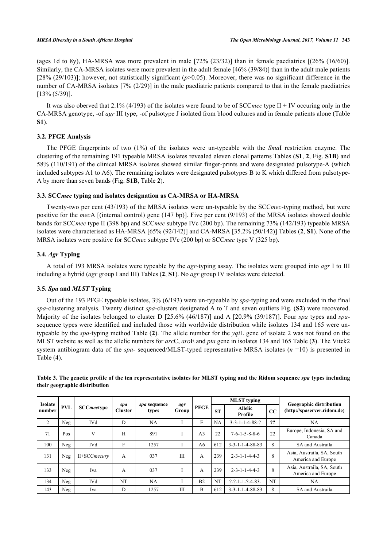(ages 1d to 8y), HA-MRSA was more prevalent in male [72% (23/32)] than in female paediatrics [(26% (16/60)]. Similarly, the CA-MRSA isolates were more prevalent in the adult female [46% (39/84)] than in the adult male patients [28% (29/103)]; however, not statistically significant ( $p$ >0.05). Moreover, there was no significant difference in the number of CA-MRSA isolates [7% (2/29)] in the male paediatric patients compared to that in the female paediatrics [13% (5/39)].

It was also oberved that 2.1% (4/193) of the isolates were found to be of SCC*mec* type II + IV occuring only in the CA-MRSA genotype, -of *agr* III type, -of pulsotype J isolated from blood cultures and in female patients alone (Table **[S1](#page--1-0)**).

#### **3.2. PFGE Analysis**

The PFGE fingerprints of two (1%) of the isolates were un-typeable with the *Sma*I restriction enzyme. The clustering of the remaining 191 typeable MRSA isolates revealed eleven clonal patterns Tables (**S1**, **[2](#page-3-0)**, Fig. **S1B**) and 58% (110/191) of the clinical MRSA isolates showed similar finger-prints and were designated pulsotype-A (which included subtypes A1 to A6). The remaining isolates were designated pulsotypes B to K which differed from pulsotype-A by more than seven bands (Fig. **S1B**, Table **[2](#page-3-0)**).

#### **3.3. SCC***mec* **typing and isolates designation as CA-MRSA or HA-MRSA**

Twenty-two per cent (43/193) of the MRSA isolates were un-typeable by the SCC*mec*-typing method, but were positive for the *mec*A [(internal control) gene (147 bp)]. Five per cent (9/193) of the MRSA isolates showed double bands for SCC*mec* type II (398 bp) and SCC*mec* subtype IVc (200 bp). The remaining 73% (142/193) typeable MRSA isolates were characterised as HA-MRSA [65% (92/142)] and CA-MRSA [35.2% (50/142)] Tables (**[2](#page-3-0)**, **S1**). None of the MRSA isolates were positive for SCC*mec* subtype IVc (200 bp) or SCC*mec* type V (325 bp).

#### **3.4.** *Agr* **Typing**

A total of 193 MRSA isolates were typeable by the *agr-*typing assay. The isolates were grouped into *agr* I to III including a hybrid (*agr* group I and III) Tables (**[2](#page-3-0)**, **S1**). No *agr* group IV isolates were detected.

#### **3.5.** *Spa* **and** *MLST* **Typing**

Out of the 193 PFGE typeable isolates, 3% (6/193) were un-typeable by *spa-*typing and were excluded in the final *spa*-clustering analysis. Twenty distinct *spa*-clusters designated A to T and seven outliers Fig. (**S2**) were recovered. Majority of the isolates belonged to cluster D [25.6% (46/187)] and A [20.9% (39/187)]. Four *spa* types and *spa*sequence types were identified and included those with worldwide distribution while isolates 134 and 165 were untypeable by the *spa-*typing method Table (**[2](#page-3-0)**). The allele number for the *yqi*L gene of isolate 2 was not found on the MLST website as well as the allelic numbers for *arc*C, *aro*E and *pta* gene in isolates 134 and 165 Table (**[3](#page-4-0)**). The Vitek2 system antibiogram data of the *spa-* sequenced/MLST-typed representative MRSA isolates (*n* =10) is presented in Table (**[4](#page-5-0)**).

| <b>Isolate</b> |     |                   |                       |                       |              |                | <b>MLST</b> typing |                                |    |                                                               |
|----------------|-----|-------------------|-----------------------|-----------------------|--------------|----------------|--------------------|--------------------------------|----|---------------------------------------------------------------|
| number         | PVL | <b>SCCmectype</b> | spa<br><b>Cluster</b> | spa sequence<br>types | agr<br>Group | <b>PFGE</b>    | <b>ST</b>          | <b>Allelic</b><br>Profile      | CC | <b>Geographic distribution</b><br>(http://spaserver.ridom.de) |
| 2              | Neg | <b>IVd</b>        | D                     | <b>NA</b>             |              | E              | NA                 | $3 - 3 - 1 - 1 - 4 - 88 - ?$   | ?? | NA                                                            |
| 71             | Pos | V                 | H                     | 891                   |              | A <sub>3</sub> | 22                 | $7-6-1-5-8-8-6$                | 22 | Europe, Indonesia, SA and<br>Canada                           |
| 100            | Neg | <b>IVd</b>        | F                     | 1257                  |              | A6             | 612                | $3 - 3 - 1 - 1 - 4 - 88 - 83$  | 8  | SA and Austraila                                              |
| 131            | Neg | II+SCCmecury      | $\mathsf{A}$          | 037                   | IΙI          | $\overline{A}$ | 239                | $2 - 3 - 1 - 1 - 4 - 4 - 3$    | 8  | Asia, Austraila, SA, South<br>America and Europe              |
| 133            | Neg | Iva               | $\overline{A}$        | 037                   |              | A              | 239                | $2 - 3 - 1 - 1 - 4 - 4 - 3$    | 8  | Asia, Austraila, SA, South<br>America and Europe              |
| 134            | Neg | <b>IVd</b>        | NT                    | NA                    |              | B <sub>2</sub> | NT                 | $? - ? - 1 - 1 - ? - 4 - 83 -$ | NT | NA                                                            |
| 143            | Neg | Iva               | D                     | 1257                  | IΙI          | B              | 612                | $3 - 3 - 1 - 1 - 4 - 88 - 83$  | 8  | SA and Austraila                                              |

<span id="page-4-0"></span>**Table 3. The genetic profile of the ten representative isolates for MLST typing and the Ridom sequence** *spa* **types including their geographic distribution**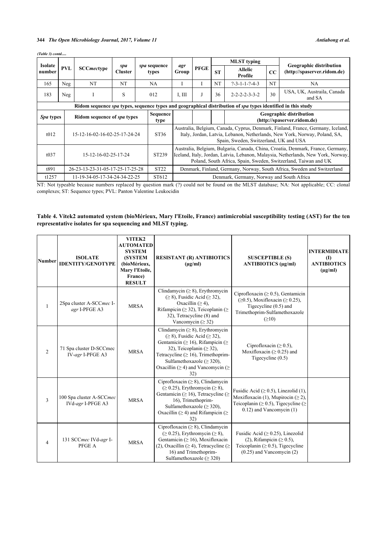|                   |            |                                  |                       |                       |                                                                                                                                                                                                                                         |             |                                                                         | <b>MLST</b> typing                                                                                           |    |                                                                                                                                                               |  |
|-------------------|------------|----------------------------------|-----------------------|-----------------------|-----------------------------------------------------------------------------------------------------------------------------------------------------------------------------------------------------------------------------------------|-------------|-------------------------------------------------------------------------|--------------------------------------------------------------------------------------------------------------|----|---------------------------------------------------------------------------------------------------------------------------------------------------------------|--|
| Isolate<br>number | <b>PVL</b> | <b>SCC</b> mectype               | spa<br><b>Cluster</b> | spa sequence<br>types | agr<br>Group                                                                                                                                                                                                                            | <b>PFGE</b> | <b>ST</b>                                                               | Allelic<br>Profile                                                                                           | CC | <b>Geographic distribution</b><br>(http://spaserver.ridom.de)                                                                                                 |  |
| 165               | Neg        | NT                               | NT                    | NA.                   |                                                                                                                                                                                                                                         |             | NT                                                                      | $? - 3 - 1 - 1 - ? - 4 - 3$                                                                                  | NT | NA.                                                                                                                                                           |  |
| 183               | Neg        |                                  | S                     | 012                   | I, III                                                                                                                                                                                                                                  |             | 36                                                                      | $2 - 2 - 2 - 3 - 3 - 2$                                                                                      | 30 | USA, UK, Austraila, Canada<br>and SA                                                                                                                          |  |
|                   |            |                                  |                       |                       |                                                                                                                                                                                                                                         |             |                                                                         | Ridom sequence spa types, sequence types and geographical distribution of spa types identified in this study |    |                                                                                                                                                               |  |
| <i>Spa</i> types  |            | Ridom sequence of spa types      |                       | Sequence<br>type      |                                                                                                                                                                                                                                         |             |                                                                         |                                                                                                              |    | <b>Geographic distribution</b><br>(http://spaserver.ridom.de)                                                                                                 |  |
| t012              |            | 15-12-16-02-16-02-25-17-24-24    |                       | ST36                  |                                                                                                                                                                                                                                         |             |                                                                         | Spain, Sweden, Switzerland, UK and USA                                                                       |    | Australia, Belgium, Canada, Cyprus, Denmark, Finland, France, Germany, Iceland,<br>Italy, Jordan, Latvia, Lebanon, Netherlands, New York, Norway, Poland, SA, |  |
| t037              |            | 15-12-16-02-25-17-24             |                       | ST <sub>239</sub>     | Australia, Belgium, Bulgaria, Canada, China, Croatia, Denmark, France, Germany,<br>Iceland, Italy, Jordan, Latvia, Lebanon, Malaysia, Netherlands, New York, Norway,<br>Poland, South Africa, Spain, Sweden, Switzerland, Taiwan and UK |             |                                                                         |                                                                                                              |    |                                                                                                                                                               |  |
| t891              |            | 26-23-13-23-31-05-17-25-17-25-28 |                       | <b>ST22</b>           |                                                                                                                                                                                                                                         |             | Denmark, Finland, Germany, Norway, South Africa, Sweden and Switzerland |                                                                                                              |    |                                                                                                                                                               |  |
| t1257             |            | 11-19-34-05-17-34-24-34-22-25    |                       | ST612                 |                                                                                                                                                                                                                                         |             |                                                                         | Denmark, Germany, Norway and South Africa                                                                    |    |                                                                                                                                                               |  |

NT: Not typeable because numbers replaced by question mark (?) could not be found on the MLST database; NA: Not applicable; CC: clonal complexes; ST: Sequence types; PVL: Panton Valentine Leukocidin

# <span id="page-5-0"></span>**Table 4. Vitek2 automated system (bioMérieux, Mary l'Etoile, France) antimicrobial susceptibility testing (AST) for the ten representative isolates for spa sequencing and MLST typing.**

| <b>Number</b>  | <b>ISOLATE</b><br><b>IDENTITY/GENOTYPE</b>    | VITEK2<br><b>AUTOMATED</b><br><b>SYSTEM</b><br><b>(SYSTEM</b><br>(bioMérieux,<br>Mary l'Etoile,<br>France)<br><b>RESULT</b> | <b>RESISTANT (R) ANTIBIOTICS</b><br>$(\mu g/ml)$                                                                                                                                                                                                                                                             | <b>SUSCEPTIBLE (S)</b><br>ANTIBIOTICS (µg/ml)                                                                                                                              | <b>INTERMIDIATE</b><br>$\mathbf{I}$<br><b>ANTIBIOTICS</b><br>$(\mu g/ml)$ |
|----------------|-----------------------------------------------|-----------------------------------------------------------------------------------------------------------------------------|--------------------------------------------------------------------------------------------------------------------------------------------------------------------------------------------------------------------------------------------------------------------------------------------------------------|----------------------------------------------------------------------------------------------------------------------------------------------------------------------------|---------------------------------------------------------------------------|
| $\mathbf{1}$   | 2Spa cluster A-SCCmec I-<br>agr I-PFGE A3     | <b>MRSA</b>                                                                                                                 | Clindamycin ( $\geq$ 8), Erythromycin<br>$(\geq 8)$ , Fusidic Acid ( $\geq 32$ ),<br>Oxacillin $(\geq 4)$ ,<br>Rifampicin ( $\geq$ 32), Teicoplanin ( $\geq$<br>32), Tetracycline (8) and<br>Vancomycin ( $\geq$ 32)                                                                                         | Ciprofloxacin ( $\geq$ 0.5), Gentamicin<br>$(\geq 0.5)$ , Moxifloxacin ( $\geq 0.25$ ),<br>Tigecycline $(0.5)$ and<br>Trimethoprim-Sulfamethoxazole<br>$(\geq 10)$         |                                                                           |
| $\overline{2}$ | 71 Spa cluster D-SCCmec<br>IV-agr I-PFGE A3   | <b>MRSA</b>                                                                                                                 | Clindamycin ( $\geq 8$ ), Erythromycin<br>$(\geq 8)$ , Fusidic Acid ( $\geq 32$ ),<br>Gentamicin ( $\geq$ 16), Rifampicin ( $\geq$<br>32), Teicoplanin ( $\geq$ 32),<br>Tetracycline ( $\geq 16$ ), Trimethoprim-<br>Sulfamethoxazole ( $\geq$ 320),<br>Oxacillin ( $\geq$ 4) and Vancomycin ( $\geq$<br>32) | Ciprofloxacin ( $\geq$ 0.5),<br>Moxifloxacin ( $\geq$ 0.25) and<br>Tigecycline (0.5)                                                                                       |                                                                           |
| 3              | 100 Spa cluster A-SCCmec<br>IVd-agr I-PFGE A3 | <b>MRSA</b>                                                                                                                 | Ciprofloxacin ( $\geq 8$ ), Clindamycin<br>$(\geq 0.25)$ , Erythromycin $(\geq 8)$ ,<br>Gentamicin ( $\geq$ 16), Tetracycline ( $\geq$<br>16), Trimethoprim-<br>Sulfamethoxazole ( $\geq$ 320),<br>Oxacillin ( $\geq$ 4) and Rifampicin ( $\geq$<br>32)                                                      | Fusidic Acid ( $\geq$ 0.5), Linezolid (1),<br>Moxifloxacin (1), Mupirocin ( $\geq$ 2),<br>Teicoplanin ( $\geq$ 0.5), Tigecycline ( $\geq$<br>$0.12$ ) and Vancomycin $(1)$ |                                                                           |
| $\overline{4}$ | 131 SCCmec IVd-agr I-<br>PFGE A               | <b>MRSA</b>                                                                                                                 | Ciprofloxacin ( $\geq$ 8), Clindamycin<br>$(\geq 0.25)$ , Erythromycin ( $\geq 8$ ),<br>Gentamicin ( $\geq 16$ ), Moxifloxacin<br>(2), Oxacillin ( $\geq$ 4), Tetracycline ( $\geq$<br>16) and Trimethoprim-<br>Sulfamethoxazole ( $\geq$ 320)                                                               | Fusidic Acid ( $\geq$ 0.25), Linezolid<br>(2), Rifampicin ( $\geq$ 0.5),<br>Teicoplanin ( $\geq$ 0.5), Tigecycline<br>$(0.25)$ and Vancomycin $(2)$                        |                                                                           |

#### *(Table 3) contd.....*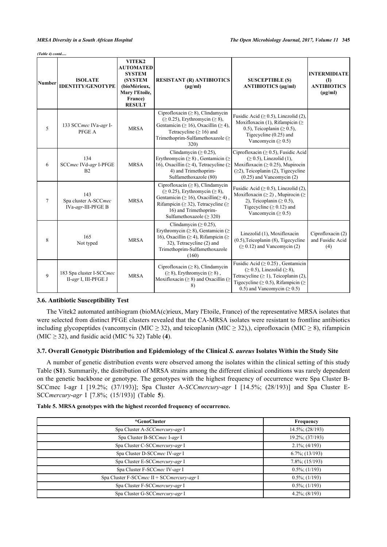*(Table 4) contd.....*

| <b>Number</b> | <b>ISOLATE</b><br><b>IDENTITY/GENOTYPE</b>        | VITEK2<br><b>AUTOMATED</b><br><b>SYSTEM</b><br><b>(SYSTEM)</b><br>(bioMérieux,<br>Mary l'Etoile,<br>France)<br><b>RESULT</b> | <b>RESISTANT (R) ANTIBIOTICS</b><br>$(\mu g/ml)$                                                                                                                                                                                                     | <b>SUSCEPTIBLE (S)</b><br><b>ANTIBIOTICS</b> (µg/ml)                                                                                                                                                                  | <b>INTERMIDIATE</b><br>$\mathbf{I}$<br><b>ANTIBIOTICS</b><br>$(\mu g/ml)$ |
|---------------|---------------------------------------------------|------------------------------------------------------------------------------------------------------------------------------|------------------------------------------------------------------------------------------------------------------------------------------------------------------------------------------------------------------------------------------------------|-----------------------------------------------------------------------------------------------------------------------------------------------------------------------------------------------------------------------|---------------------------------------------------------------------------|
| 5             | 133 SCCmec IVa-agr I-<br>PFGE A                   | <b>MRSA</b>                                                                                                                  | Ciprofloxacin ( $\geq$ 8), Clindamycin<br>$(\geq 0.25)$ , Erythromycin ( $\geq 8$ ),<br>Gentamicin ( $\geq 16$ ), Oxacillin ( $\geq 4$ ),<br>Tetracycline ( $\geq 16$ ) and<br>Trimethoprim-Sulfamethoxazole (≥<br>320)                              | Fusidic Acid ( $\geq$ 0.5), Linezolid (2),<br>Moxifloxacin (1), Rifampicin ( $\geq$<br>0.5), Teicoplanin ( $\geq$ 0.5),<br>Tigecycline $(0.25)$ and<br>Vancomycin ( $\geq$ 0.5)                                       |                                                                           |
| 6             | 134<br>SCCmec IVd-agr I-PFGE<br>B <sub>2</sub>    | <b>MRSA</b>                                                                                                                  | Clindamycin ( $\geq$ 0.25),<br>Erythromycin ( $\geq 8$ ), Gentamicin ( $\geq$<br>16), Oxacillin ( $\geq$ 4), Tetracycline ( $\geq$<br>4) and Trimethoprim-<br>Sulfamethoxazole (80)                                                                  | Ciprofloxacin ( $\geq$ 0.5), Fusidic Acid<br>$(\geq 0.5)$ , Linezolid (1),<br>Moxifloxacin ( $\geq$ 0.25), Mupirocin<br>$(\geq 2)$ , Teicoplanin (2), Tigecycline<br>$(0.25)$ and Vancomycin $(2)$                    |                                                                           |
| $\tau$        | 143<br>Spa cluster A-SCCmec<br>IVa-agr-III-PFGE B | <b>MRSA</b>                                                                                                                  | Ciprofloxacin ( $\geq 8$ ), Clindamycin<br>$(\geq 0.25)$ , Erythromycin ( $\geq 8$ ),<br>Gentamicin ( $\geq$ 16), Oxacillin( $\geq$ 4),<br>Rifampicin ( $\geq$ 32), Tetracycline ( $\geq$<br>16) and Trimethoprim-<br>Sulfamethoxazole ( $\geq$ 320) | Fusidic Acid ( $\geq$ 0.5), Linezolid (2),<br>Moxifloxacin ( $\geq$ 2), Mupirocin ( $\geq$<br>2), Teicoplanin ( $\geq$ 0.5),<br>Tigecycline ( $\geq$ 0.12) and<br>Vancomycin ( $\geq$ 0.5)                            |                                                                           |
| 8             | 165<br>Not typed                                  | <b>MRSA</b>                                                                                                                  | Clindamycin ( $\geq$ 0.25),<br>Erythromycin ( $\geq$ 8), Gentamicin ( $\geq$<br>16), Oxacillin ( $\geq$ 4), Rifampicin ( $\geq$<br>32), Tetracycline (2) and<br>Trimethoprim-Sulfamethoxazole<br>(160)                                               | Linezolid (1), Moxifloxacin<br>(0.5), Teicoplanin (8), Tigecycline<br>$( \ge 0.12)$ and Vancomycin (2)                                                                                                                | Ciprofloxacin $(2)$<br>and Fusidic Acid<br>(4)                            |
| 9             | 183 Spa cluster I-SCCmec<br>II-agr I, III-PFGE J  | <b>MRSA</b>                                                                                                                  | Ciprofloxacin ( $\geq 8$ ), Clindamycin<br>$(\geq 8)$ , Erythromycin $(\geq 8)$ ,<br>Moxifloxacin ( $\geq$ 8) and Oxacillin ( $\geq$<br>8)                                                                                                           | Fusidic Acid ( $\geq$ 0.25), Gentamicin<br>$(\geq 0.5)$ , Linezolid $(\geq 8)$ ,<br>Tetracycline $(\geq 1)$ , Teicoplanin (2),<br>Tigecycline ( $\geq$ 0.5), Rifampicin ( $\geq$<br>0.5) and Vancomycin ( $\geq$ 0.5) |                                                                           |

#### **3.6. Antibiotic Susceptibility Test**

The Vitek2 automated antibiogram (bioMA(c)rieux, Mary l'Etoile, France) of the representative MRSA isolates that were selected from distinct PFGE clusters revealed that the CA-MRSA isolates were resistant to frontline antibiotics including glycopeptides (vancomycin (MIC  $\geq$  32), and teicoplanin (MIC  $\geq$  32),), ciprofloxacin (MIC  $\geq$  8), rifampicin (MIC  $\ge$  32), and fusidic acid (MIC % 32) Table ([4](#page-5-0)).

#### **3.7. Overall Genotypic Distribution and Epidemiology of the Clinical** *S. aureus* **Isolates Within the Study Site**

A number of genetic distribution events were observed among the isolates within the clinical setting of this study Table (**S1**). Summarily, the distribution of MRSA strains among the different clinical conditions was rarely dependent on the genetic backbone or genotype. The genotypes with the highest frequency of occurrence were Spa Cluster B-SCCmec I-agr I [19.2%; (37/193)]; Spa Cluster A-*SCCmercury*-*agr* I [14.5%; (28/193)] and Spa Cluster E-SCC*mercury*-*agr* I [7.8%; (15/193)] (Table**5**).

<span id="page-6-0"></span>

|  |  |  | Table 5. MRSA genotypes with the highest recorded frequency of occurrence. |
|--|--|--|----------------------------------------------------------------------------|
|--|--|--|----------------------------------------------------------------------------|

| *GenoCluster                               | Frequency           |
|--------------------------------------------|---------------------|
| Spa Cluster A-SCCmercury-agr I             | 14.5%; (28/193)     |
| Spa Cluster B-SCCmec I-agr I               | 19.2%; (37/193)     |
| Spa Cluster C-SCCmercury-agr I             | $2.1\%$ ; (4/193)   |
| Spa Cluster D-SCCmec IV-agr I              | $6.7\%$ ; (13/193)  |
| Spa Cluster E-SCCmercury-agr I             | $7.8\%$ ; (15/193)  |
| Spa Cluster F-SCCmec IV-agr I              | $0.5\%$ ; (1/193)   |
| Spa Cluster F-SCCmec II + SCCmercury-agr I | $0.5\%$ ; (1/193)   |
| Spa Cluster F-SCCmercury-agr I             | $0.5\%$ ; (1/193)   |
| Spa Cluster G-SCCmercury-agr I             | $4.2\%$ ; $(8/193)$ |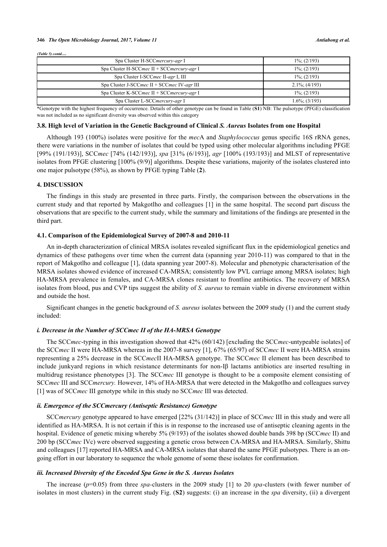#### *(Table 5) contd.....*

| Spa Cluster H-SCCmercury-agr I                | $1\%$ ; (2/193)   |
|-----------------------------------------------|-------------------|
| Spa Cluster H-SCCmec $II + SCCmercury-agr I$  | $1\%$ ; (2/193)   |
| Spa Cluster I-SCCmec II-agr I, III            | $1\%$ ; (2/193)   |
| Spa Cluster J-SCCmec $II$ + SCCmec IV-agr III | $2.1\%$ ; (4/193) |
| Spa Cluster K-SCCmec $II + SCCmercury-agr I$  | $1\%$ ; (2/193)   |
| Spa Cluster L-SCCmercury-agr I                | $1.6\%$ ; (3/193) |

\*Genotype with the highest frequency of occurrence. Details of other genotype can be found in Table (**[S1](#page--1-0)**) NB: The pulsotype (PFGE) classification was not included as no significant diversity was observed within this category

#### **3.8. High level of Variation in the Genetic Background of Clinical** *S. Aureus* **Isolates from one Hospital**

Although 193 (100%) isolates were positive for the *mec*A and *Staphylococcus* genus specific 16S rRNA genes, there were variations in the number of isolates that could be typed using other molecular algorithms including PFGE [99% (191/193)], SCC*mec* [74% (142/193)], *spa* [31% (6/193)], *agr* [100% (193/193)] and MLST of representative isolates from PFGE clustering [100% (9/9)] algorithms. Despite these variations, majority of the isolates clustered into one major pulsotype (58%), as shown by PFGE typing Table (**[2](#page-3-0)**).

#### **4. DISCUSSION**

The findings in this study are presented in three parts. Firstly, the comparison between the observations in the current study and that reported by Makgotlho and colleagues [[1](#page-10-0)] in the same hospital. The second part discuss the observations that are specific to the current study, while the summary and limitations of the findings are presented in the third part.

#### **4.1. Comparison of the Epidemiological Survey of 2007-8 and 2010-11**

An in-depth characterization of clinical MRSA isolates revealed significant flux in the epidemiological genetics and dynamics of these pathogens over time when the current data (spanning year 2010-11) was compared to that in the report of Makgotlho and colleague [[1\]](#page-10-0), (data spanning year 2007-8). Molecular and phenotypic characterisation of the MRSA isolates showed evidence of increased CA-MRSA; consistently low PVL carriage among MRSA isolates; high HA-MRSA prevalence in females, and CA-MRSA clones resistant to frontline antibiotics. The recovery of MRSA isolates from blood, pus and CVP tips suggest the ability of *S. aureus* to remain viable in diverse environment within and outside the host.

Significant changes in the genetic background of *S. aureus* isolates between the 2009 study (1) and the current study included:

#### *i. Decrease in the Number of SCCmec II of the HA-MRSA Genotype*

The SCC*mec*-typing in this investigation showed that 42% (60/142) [excluding the SCC*mec*-untypeable isolates] of the SCC*mec* II were HA-MRSA whereas in the 2007-8 survey [[1\]](#page-10-0), 67% (65/97) of SCC*mec* II were HA-MRSA strains representing a 25% decrease in the SCC*mec*II HA-MRSA genotype. The SCC*mec* II element has been described to include junkyard regions in which resistance determinants for non-Iβ lactams antibiotics are inserted resulting in multidrug resistance phenotypes [[3](#page-10-1)]. The SCC*mec* III genotype is thought to be a composite element consisting of SCC*mec* III and SCC*mercury.* However, 14% of HA-MRSA that were detected in the Makgotlho and colleagues survey [\[1](#page-10-0)] was of SCC*mec* III genotype while in this study no SCC*mec* III was detected.

#### *ii. Emergence of the SCCmercury (Antiseptic Resistance) Genotype*

SCC*mercury* genotype appeared to have emerged [22% (31/142)] in place of SCC*mec* III in this study and were all identified as HA-MRSA. It is not certain if this is in response to the increased use of antiseptic cleaning agents in the hospital. Evidence of genetic mixing whereby 5% (9/193) of the isolates showed double bands 398 bp (SCC*mec* II) and 200 bp (SCC*mec* IVc) were observed suggesting a genetic cross between CA-MRSA and HA-MRSA. Similarly, Shittu and colleagues [[17\]](#page-11-9) reported HA-MRSA and CA-MRSA isolates that shared the same PFGE pulsotypes. There is an ongoing effort in our laboratory to sequence the whole genome of some these isolates for confirmation.

#### *iii. Increased Diversity of the Encoded Spa Gene in the S. Aureus Isolates*

The increase (*p*=0.05) from three *spa-*clusters in the 2009 study [\[1](#page-10-0)] to 20 *spa*-clusters (with fewer number of isolates in most clusters) in the current study Fig. (**S2**) suggests: (i) an increase in the *spa* diversity, (ii) a divergent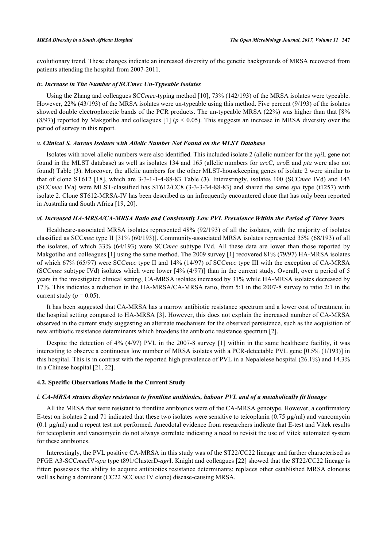evolutionary trend. These changes indicate an increased diversity of the genetic backgrounds of MRSA recovered from patients attending the hospital from 2007-2011.

#### *iv. Increase in The Number of SCCmec Un-Typeable Isolates*

Using the Zhang and colleagues SCC*mec*-typing method [\[10\]](#page-11-2), 73% (142/193) of the MRSA isolates were typeable. However, 22% (43/193) of the MRSA isolates were un-typeable using this method. Five percent (9/193) of the isolates showed double electrophoretic bands of the PCR products. The un-typeable MRSA (22%) was higher than that [8% (8/97)] reported by Makgotlho and colleagues [[1\]](#page-10-0) ( $p < 0.05$ ). This suggests an increase in MRSA diversity over the period of survey in this report.

#### *v. Clinical S. Aureus Isolates with Allelic Number Not Found on the MLST Database*

Isolates with novel allelic numbers were also identified. This included isolate 2 (allelic number for the *yqi*L gene not found in the MLST database) as well as isolates 134 and 165 (allelic numbers for *arc*C, *aro*E and *pta* were also not found) Table (**[3](#page-4-0)**). Moreover, the allelic numbers for the other MLST-housekeeping genes of isolate 2 were similar to that of clone ST612 [[18](#page-11-10)], which are 3-3-1-1-4-88-83 Table (**[3](#page-4-0)**). Interestingly, isolates 100 (SCC*mec* IVd) and 143 (SCC*mec* IVa) were MLST-classified has ST612/CC8 (3-3-3-34-88-83) and shared the same *spa* type (t1257) with isolate 2. Clone ST612-MRSA-IV has been described as an infrequently encountered clone that has only been reported in Australia and South Africa [\[19](#page-11-11), [20](#page-11-12)].

#### *vi. Increased HA-MRSA/CA-MRSA Ratio and Consistently Low PVL Prevalence Within the Period of Three Years*

Healthcare-associated MRSA isolates represented 48% (92/193) of all the isolates, with the majority of isolates classified as SCC*mec* type II [31% (60/193)]. Community-associated MRSA isolates represented 35% (68/193) of all the isolates, of which 33% (64/193) were SCC*mec* subtype IVd. All these data are lower than those reported by Makgotlho and colleagues [\[1](#page-10-0)] using the same method. The 2009 survey [\[1\]](#page-10-0) recovered 81% (79/97) HA-MRSA isolates of which 67% (65/97) were SCC*mec* type II and 14% (14/97) of SCC*mec* type III with the exception of CA-MRSA (SCC*mec* subtype IVd) isolates which were lower [4% (4/97)] than in the current study. Overall, over a period of 5 years in the investigated clinical setting, CA-MRSA isolates increased by 31% while HA-MRSA isolates decreased by 17%. This indicates a reduction in the HA-MRSA/CA-MRSA ratio, from 5:1 in the 2007-8 survey to ratio 2:1 in the current study ( $p = 0.05$ ).

It has been suggested that CA-MRSA has a narrow antibiotic resistance spectrum and a lower cost of treatment in the hospital setting compared to HA-MRSA [[3\]](#page-10-2). However, this does not explain the increased number of CA-MRSA observed in the current study suggesting an alternate mechanism for the observed persistence, such as the acquisition of new antibiotic resistance determinants which broadens the antibiotic resistance spectrum [\[2](#page-10-1)].

Despite the detection of 4% (4/97) PVL in the 2007-8 survey [[1\]](#page-10-0) within in the same healthcare facility, it was interesting to observe a continuous low number of MRSA isolates with a PCR-detectable PVL gene [0.5% (1/193)] in this hospital. This is in contrast with the reported high prevalence of PVL in a Nepalelese hospital (26.1%) and 14.3% in a Chinese hospital [\[21](#page-11-13), [22](#page-11-14)].

#### **4.2. Specific Observations Made in the Current Study**

#### *i. CA-MRSA strains display resistance to frontline antibiotics, habour PVL and of a metabolically fit lineage*

All the MRSA that were resistant to frontline antibiotics were of the CA-MRSA genotype. However, a confirmatory E-test on isolates 2 and 71 indicated that these two isolates were sensitive to teicoplanin (0.75  $\mu$ g/ml) and vancomycin  $(0.1 \mu g/ml)$  and a repeat test not performed. Anecdotal evidence from researchers indicate that E-test and Vitek results for teicoplanin and vancomycin do not always correlate indicating a need to revisit the use of Vitek automated system for these antibiotics.

Interestingly, the PVL positive CA-MRSA in this study was of the ST22/CC22 lineage and further characterised as PFGE A3-SCC*mec*IV-*spa* type t891/ClusterD-*agr*I. Knight and colleagues [\[22](#page-11-14)] showed that the ST22/CC22 lineage is fitter; possesses the ability to acquire antibiotics resistance determinants; replaces other established MRSA clonesas well as being a dominant (CC22 SCC*mec* IV clone) disease-causing MRSA.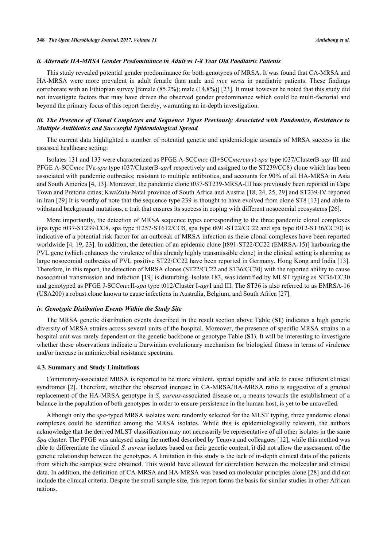#### *ii. Alternate HA-MRSA Gender Predominance in Adult vs 1-8 Year Old Paediatric Patients*

This study revealed potential gender predominance for both genotypes of MRSA. It was found that CA-MRSA and HA-MRSA were more prevalent in adult female than male and *vice versa* in paediatric patients. These findings corroborate with an Ethiopian survey [female (85.2%); male (14.8%)] [[23\]](#page-11-15). It must however be noted that this study did not investigate factors that may have driven the observed gender predominance which could be multi-factorial and beyond the primary focus of this report thereby, warranting an in-depth investigation.

#### *iii. The Presence of Clonal Complexes and Sequence Types Previously Associated with Pandemics, Resistance to Multiple Antibiotics and Successful Epidemiological Spread*

The current data highlighted a number of potential genetic and epidemiologic arsenals of MRSA success in the assessed healthcare setting:

Isolates 131 and 133 were characterized as PFGE A-SCC*mec* (II+SCC*mercury*)-*spa* type t037/ClusterB-*agr* III and PFGE A-SCC*mec* IVa-*spa* type t037/ClusterB-*agr*I respectively and assigned to the ST239/CC8) clone which has been associated with pandemic outbreaks; resistant to multiple antibiotics, and accounts for 90% of all HA-MRSA in Asia and South America [\[4](#page-10-3), [13](#page-11-5)]. Moreover, the pandemic clone t037-ST239-MRSA-III has previously been reported in Cape Town and Pretoria cities; KwaZulu-Natal province of South Africa and Austria [[18,](#page-11-10) [24](#page-11-16), [25](#page-11-17), [29\]](#page-12-0) and ST239-IV reported in Iran [[29\]](#page-12-0) It is worthy of note that the sequence type 239 is thought to have evolved from clone ST8 [[13\]](#page-11-5) and able to withstand background mutations, a trait that ensures its success in coping with different nosocomial ecosystems [\[26](#page-11-18)].

More importantly, the detection of MRSA sequence types corresponding to the three pandemic clonal complexes (spa type t037-ST239/CC8, spa type t1257-ST612/CC8, spa type t891-ST22/CC22 and spa type t012-ST36/CC30) is indicative of a potential risk factor for an outbreak of MRSA infection as these clonal complexes have been reported worldwide [[4](#page-10-3), [19](#page-11-11), [23\]](#page-11-15). In addition, the detection of an epidemic clone [t891-ST22/CC22 (EMRSA-15)] harbouring the PVL gene (which enhances the virulence of this already highly transmissible clone) in the clinical setting is alarming as large nosocomial outbreaks of PVL positive ST22/CC22 have been reported in Germany, Hong Kong and India [[13\]](#page-11-5). Therefore, in this report, the detection of MRSA clones (ST22/CC22 and ST36/CC30) with the reported ability to cause nosocomial transmission and infection [[19\]](#page-11-11) is disturbing. Isolate 183, was identified by MLST typing as ST36/CC30 and genotyped as PFGE J-SCC*mec*II-*spa* type t012/Cluster I-*agr*I and III. The ST36 is also referred to as EMRSA-16 (USA200) a robust clone known to cause infections in Australia, Belgium, and South Africa [[27\]](#page-12-1).

#### *iv. Genotypic Distibution Events Within the Study Site*

The MRSA genetic distribution events described in the result section above Table (**S1**) indicates a high genetic diversity of MRSA strains across several units of the hospital. Moreover, the presence of specific MRSA strains in a hospital unit was rarely dependent on the genetic backbone or genotype Table (**S1**). It will be interesting to investigate whether these observations indicate a Darwinian evolutionary mechanism for biological fitness in terms of virulence and/or increase in antimicrobial resistance spectrum.

#### **4.3. Summary and Study Limitations**

Community-associated MRSA is reported to be more virulent, spread rapidly and able to cause different clinical syndromes [[2\]](#page-10-1). Therefore, whether the observed increase in CA-MRSA/HA-MRSA ratio is suggestive of a gradual replacement of the HA-MRSA genotype in *S. aureus*-associated disease or, a means towards the establishment of a balance in the population of both genotypes in order to ensure persistence in the human host, is yet to be unravelled.

Although only the *spa*-typed MRSA isolates were randomly selected for the MLST typing, three pandemic clonal complexes could be identified among the MRSA isolates. While this is epidemiologically relevant, the authors acknowledge that the derived MLST classification may not necessarily be representative of all other isolates in the same *Spa* cluster. The PFGE was anlaysed using the method described by Tenova and colleagues [\[12](#page-11-4)], while this method was able to differentiate the clinical *S. aureus* isolates based on their genetic content, it did not allow the assessment of the genetic relationship between the genotypes. A limitation in this study is the lack of in-depth clinical data of the patients from which the samples were obtained. This would have allowed for correlation between the molecular and clinical data. In addition, the definition of CA-MRSA and HA-MRSA was based on molecular principles alone [\[28](#page-12-2)] and did not include the clinical criteria. Despite the small sample size, this report forms the basis for similar studies in other African nations.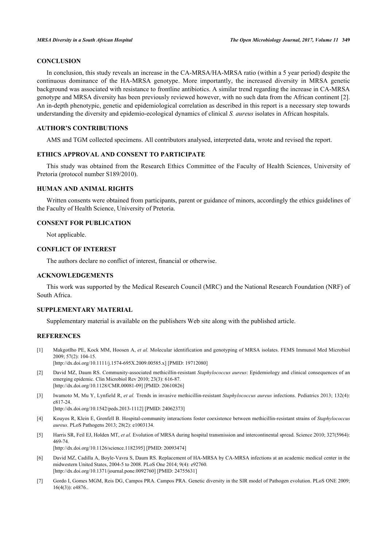### **CONCLUSION**

In conclusion, this study reveals an increase in the CA-MRSA/HA-MRSA ratio (within a 5 year period) despite the continuous dominance of the HA-MRSA genotype. More importantly, the increased diversity in MRSA genetic background was associated with resistance to frontline antibiotics. A similar trend regarding the increase in CA-MRSA genotype and MRSA diversity has been previously reviewed however, with no such data from the African continent [[2\]](#page-10-1). An in-depth phenotypic, genetic and epidemiological correlation as described in this report is a necessary step towards understanding the diversity and epidemio-ecological dynamics of clinical *S. aureus* isolates in African hospitals.

#### **AUTHOR'S CONTRIBUTIONS**

AMS and TGM collected specimens. All contributors analysed, interpreted data, wrote and revised the report.

#### **ETHICS APPROVAL AND CONSENT TO PARTICIPATE**

This study was obtained from the Research Ethics Committee of the Faculty of Health Sciences, University of Pretoria (protocol number S189/2010).

#### **HUMAN AND ANIMAL RIGHTS**

Written consents were obtained from participants, parent or guidance of minors, accordingly the ethics guidelines of the Faculty of Health Science, University of Pretoria.

#### **CONSENT FOR PUBLICATION**

Not applicable.

#### **CONFLICT OF INTEREST**

The authors declare no conflict of interest, financial or otherwise.

#### **ACKNOWLEDGEMENTS**

This work was supported by the Medical Research Council (MRC) and the National Research Foundation (NRF) of South Africa.

#### **SUPPLEMENTARY MATERIAL**

Supplementary material is available on the publishers Web site along with the published article.

#### **REFERENCES**

<span id="page-10-0"></span>[1] Makgotlho PE, Kock MM, Hoosen A, *et al.* Molecular identification and genotyping of MRSA isolates. FEMS Immunol Med Microbiol 2009; 57(2): 104-15.

[\[http://dx.doi.org/10.1111/j.1574-695X.2009.00585.x](http://dx.doi.org/10.1111/j.1574-695X.2009.00585.x)] [PMID: [19712080](http://www.ncbi.nlm.nih.gov/pubmed/19712080)]

- <span id="page-10-1"></span>[2] David MZ, Daum RS. Community-associated methicillin-resistant *Staphylococcus aureus*: Epidemiology and clinical consequences of an emerging epidemic. Clin Microbiol Rev 2010; 23(3): 616-87. [\[http://dx.doi.org/10.1128/CMR.00081-09](http://dx.doi.org/10.1128/CMR.00081-09)] [PMID: [20610826\]](http://www.ncbi.nlm.nih.gov/pubmed/20610826)
- <span id="page-10-2"></span>[3] Iwamoto M, Mu Y, Lynfield R, *et al.* Trends in invasive methicillin-resistant *Staphylococcus aureus* infections. Pediatrics 2013; 132(4): e817-24.

[\[http://dx.doi.org/10.1542/peds.2013-1112](http://dx.doi.org/10.1542/peds.2013-1112)] [PMID: [24062373\]](http://www.ncbi.nlm.nih.gov/pubmed/24062373)

- <span id="page-10-3"></span>[4] Kouyos R, Klein E, Grenfell B. Hospital-community interactions foster coexistence between methicillin-resistant strains of *Staphylococcus aureus.* PLoS Pathogens 2013; 28(2): e1003134.
- <span id="page-10-4"></span>[5] Harris SR, Feil EJ, Holden MT, *et al.* Evolution of MRSA during hospital transmission and intercontinental spread. Science 2010; 327(5964): 469-74.

[\[http://dx.doi.org/10.1126/science.1182395](http://dx.doi.org/10.1126/science.1182395)] [PMID: [20093474\]](http://www.ncbi.nlm.nih.gov/pubmed/20093474)

- <span id="page-10-5"></span>[6] David MZ, Cadilla A, Boyle-Vavra S, Daum RS. Replacement of HA-MRSA by CA-MRSA infections at an academic medical center in the midwestern United States, 2004-5 to 2008. PLoS One 2014; 9(4): e92760. [\[http://dx.doi.org/10.1371/journal.pone.0092760](http://dx.doi.org/10.1371/journal.pone.0092760)] [PMID: [24755631\]](http://www.ncbi.nlm.nih.gov/pubmed/24755631)
- <span id="page-10-6"></span>[7] Gordo I, Gomes MGM, Reis DG, Campos PRA. Campos PRA. Genetic diversity in the SIR model of Pathogen evolution. PLoS ONE 2009; 16(4(3)): e4876..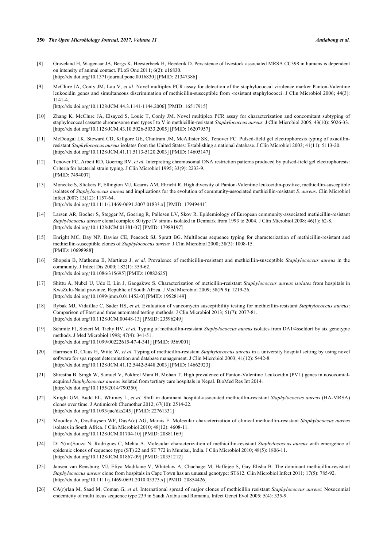- <span id="page-11-0"></span>[8] Graveland H, Wagenaar JA, Bergs K, Heesterbeek H, Heederik D. Persistence of livestock associated MRSA CC398 in humans is dependent on intensity of animal contact. PLoS One 2011; 6(2): e16830. [\[http://dx.doi.org/10.1371/journal.pone.0016830](http://dx.doi.org/10.1371/journal.pone.0016830)] [PMID: [21347386\]](http://www.ncbi.nlm.nih.gov/pubmed/21347386)
- <span id="page-11-1"></span>[9] McClure JA, Conly JM, Lau V, *et al.* Novel multiplex PCR assay for detection of the staphylococcal virulence marker Panton-Valentine leukocidin genes and simultaneous discrimination of methicillin-susceptible from -resistant staphylococci. J Clin Microbiol 2006; 44(3): 1141-4.

[\[http://dx.doi.org/10.1128/JCM.44.3.1141-1144.2006](http://dx.doi.org/10.1128/JCM.44.3.1141-1144.2006)] [PMID: [16517915\]](http://www.ncbi.nlm.nih.gov/pubmed/16517915)

- <span id="page-11-2"></span>[10] Zhang K, McClure JA, Elsayed S, Louie T, Conly JM. Novel multiplex PCR assay for characterization and concomitant subtyping of staphylococcal cassette chromosome mec types I to V in methicillin-resistant *Staphylococcus aureus.* J Clin Microbiol 2005; 43(10): 5026-33. [\[http://dx.doi.org/10.1128/JCM.43.10.5026-5033.2005](http://dx.doi.org/10.1128/JCM.43.10.5026-5033.2005)] [PMID: [16207957\]](http://www.ncbi.nlm.nih.gov/pubmed/16207957)
- <span id="page-11-3"></span>[11] McDougal LK, Steward CD, Killgore GE, Chaitram JM, McAllister SK, Tenover FC. Pulsed-field gel electrophoresis typing of oxacillinresistant *Staphylococcus aureus* isolates from the United States: Establishing a national database. J Clin Microbiol 2003; 41(11): 5113-20. [\[http://dx.doi.org/10.1128/JCM.41.11.5113-5120.2003](http://dx.doi.org/10.1128/JCM.41.11.5113-5120.2003)] [PMID: [14605147\]](http://www.ncbi.nlm.nih.gov/pubmed/14605147)
- <span id="page-11-4"></span>[12] Tenover FC, Arbeit RD, Goering RV, *et al.* Interpreting chromosomal DNA restriction patterns produced by pulsed-field gel electrophoresis: Criteria for bacterial strain typing. J Clin Microbiol 1995; 33(9): 2233-9. [PMID: [7494007\]](http://www.ncbi.nlm.nih.gov/pubmed/7494007)
- <span id="page-11-5"></span>[13] Monecke S, Slickers P, Ellington MJ, Kearns AM, Ehricht R. High diversity of Panton-Valentine leukocidin-positive, methicillin-susceptible isolates of *Staphylococcus aureus* and implications for the evolution of community-associated methicillin-resistant *S. aureus*. Clin Microbiol Infect 2007; 13(12): 1157-64. [\[http://dx.doi.org/10.1111/j.1469-0691.2007.01833.x\]](http://dx.doi.org/10.1111/j.1469-0691.2007.01833.x) [PMID: [17949441](http://www.ncbi.nlm.nih.gov/pubmed/17949441)]
- <span id="page-11-6"></span>[14] Larsen AR, Bocher S, Stegger M, Goering R, Pallesen LV, Skov R. Epidemiology of European community-associated methicillin-resistant *Staphylococcus aureus* clonal complex 80 type IV strains isolated in Denmark from 1993 to 2004. J Clin Microbiol 2008; 46(1): 62-8. [\[http://dx.doi.org/10.1128/JCM.01381-07](http://dx.doi.org/10.1128/JCM.01381-07)] [PMID: [17989197\]](http://www.ncbi.nlm.nih.gov/pubmed/17989197)
- <span id="page-11-7"></span>[15] Enright MC, Day NP, Davies CE, Peacock SJ, Spratt BG. Multilocus sequence typing for characterization of methicillin-resistant and methicillin-susceptible clones of *Staphylococcus aureus.* J Clin Microbiol 2000; 38(3): 1008-15. [PMID: [10698988\]](http://www.ncbi.nlm.nih.gov/pubmed/10698988)
- <span id="page-11-8"></span>[16] Shopsin B, Mathema B, Martinez J, *et al.* Prevalence of methicillin-resistant and methicillin-susceptible *Staphylococcus aureus* in the community. J Infect Dis 2000; 182(1): 359-62. [\[http://dx.doi.org/10.1086/315695\]](http://dx.doi.org/10.1086/315695) [PMID: [10882625](http://www.ncbi.nlm.nih.gov/pubmed/10882625)]
- <span id="page-11-9"></span>[17] Shittu A, Nubel U, Udo E, Lin J, Gaogakwe S. Characterization of meticillin-resistant *Staphylococcus aureus isolates* from hospitals in KwaZulu-Natal province, Republic of South Africa. J Med Microbiol 2009; 58(Pt 9): 1219-26. [\[http://dx.doi.org/10.1099/jmm.0.011452-0](http://dx.doi.org/10.1099/jmm.0.011452-0)] [PMID: [19528149\]](http://www.ncbi.nlm.nih.gov/pubmed/19528149)
- <span id="page-11-10"></span>[18] Rybak MJ, Vidaillac C, Sader HS, *et al.* Evaluation of vancomycin susceptibility testing for methicillin-resistant *Staphylococcus aureus*: Comparison of Etest and three automated testing methods. J Clin Microbiol 2013; 51(7): 2077-81. [\[http://dx.doi.org/10.1128/JCM.00448-13](http://dx.doi.org/10.1128/JCM.00448-13)] [PMID: [23596249\]](http://www.ncbi.nlm.nih.gov/pubmed/23596249)
- <span id="page-11-11"></span>[19] Schmitz FJ, Steiert M, Tichy HV, *et al.* Typing of methicillin-resistant *Staphylococcus aureus* isolates from DA1/4sseldorf by six genotypic methods. J Med Microbiol 1998; 47(4): 341-51. [\[http://dx.doi.org/10.1099/00222615-47-4-341\]](http://dx.doi.org/10.1099/00222615-47-4-341) [PMID: [9569001](http://www.ncbi.nlm.nih.gov/pubmed/9569001)]
- <span id="page-11-12"></span>[20] Harmsen D, Claus H, Witte W, *et al.* Typing of methicillin-resistant *Staphylococcus aureus* in a university hospital setting by using novel software for spa repeat determination and database management. J Clin Microbiol 2003; 41(12): 5442-8. [\[http://dx.doi.org/10.1128/JCM.41.12.5442-5448.2003](http://dx.doi.org/10.1128/JCM.41.12.5442-5448.2003)] [PMID: [14662923\]](http://www.ncbi.nlm.nih.gov/pubmed/14662923)
- <span id="page-11-13"></span>[21] Shrestha B, Singh W, Samuel V, Pokhrel Mani B, Mohan T. High prevalence of Panton-Valentine Leukocidin (PVL) genes in nosocomialacquire*d Staphylococcus aureus* isolated from tertiary care hospitals in Nepal. BioMed Res Int 2014. [\[http://dx.doi.org/10.1155/2014/790350](http://dx.doi.org/10.1155/2014/790350)]
- <span id="page-11-14"></span>[22] Knight GM, Budd EL, Whitney L, *et al.* Shift in dominant hospital-associated methicillin-resistant *Staphylococcus aureus* (HA-MRSA) clones over time. J Antimicrob Chemother 2012; 67(10): 2514-22. [\[http://dx.doi.org/10.1093/jac/dks245](http://dx.doi.org/10.1093/jac/dks245)] [PMID: [22761331](http://www.ncbi.nlm.nih.gov/pubmed/22761331)]
- <span id="page-11-15"></span>[23] Moodley A, Oosthuysen WF, DusA(c) AG, Marais E. Molecular characterization of clinical methicillin-resistant *Staphylococcus aureus* isolates in South Africa. J Clin Microbiol 2010; 48(12): 4608-11. [\[http://dx.doi.org/10.1128/JCM.01704-10](http://dx.doi.org/10.1128/JCM.01704-10)] [PMID: [20881169\]](http://www.ncbi.nlm.nih.gov/pubmed/20881169)
- <span id="page-11-16"></span>[24] D�?(tm)Souza N, Rodrigues C, Mehta A. Molecular characterization of methicillin-resistant *Staphylococcus aureus* with emergence of epidemic clones of sequence type (ST) 22 and ST 772 in Mumbai, India. J Clin Microbiol 2010; 48(5): 1806-11. [\[http://dx.doi.org/10.1128/JCM.01867-09](http://dx.doi.org/10.1128/JCM.01867-09)] [PMID: [20351212\]](http://www.ncbi.nlm.nih.gov/pubmed/20351212)
- <span id="page-11-17"></span>[25] Jansen van Rensburg MJ, Eliya Madikane V, Whitelaw A, Chachage M, Haffejee S, Gay Elisha B. The dominant methicillin-resistant *Staphylococcus aureus* clone from hospitals in Cape Town has an unusual genotype: ST612. Clin Microbiol Infect 2011; 17(5): 785-92. [\[http://dx.doi.org/10.1111/j.1469-0691.2010.03373.x\]](http://dx.doi.org/10.1111/j.1469-0691.2010.03373.x) [PMID: [20854426](http://www.ncbi.nlm.nih.gov/pubmed/20854426)]
- <span id="page-11-18"></span>[26] CA(r)rlan M, Saad M, Coman G, *et al.* International spread of major clones of methicillin resistant *Staphylococcus aureus*: Nosocomial endemicity of multi locus sequence type 239 in Saudi Arabia and Romania. Infect Genet Evol 2005; 5(4): 335-9.